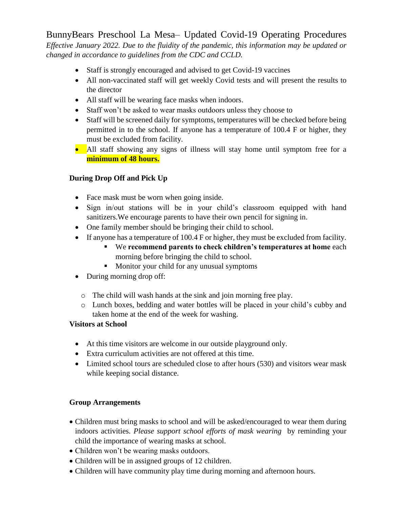BunnyBears Preschool La Mesa– Updated Covid-19 Operating Procedures *Effective January 2022. Due to the fluidity of the pandemic, this information may be updated or changed in accordance to guidelines from the CDC and CCLD.*

- Staff is strongly encouraged and advised to get Covid-19 vaccines
- All non-vaccinated staff will get weekly Covid tests and will present the results to the director
- All staff will be wearing face masks when indoors.
- Staff won't be asked to wear masks outdoors unless they choose to
- Staff will be screened daily for symptoms, temperatures will be checked before being permitted in to the school. If anyone has a temperature of 100.4 F or higher, they must be excluded from facility.
- All staff showing any signs of illness will stay home until symptom free for a **minimum of 48 hours.**

# **During Drop Off and Pick Up**

- Face mask must be worn when going inside.
- Sign in/out stations will be in your child's classroom equipped with hand sanitizers.We encourage parents to have their own pencil for signing in.
- One family member should be bringing their child to school.
- If anyone has a temperature of 100.4 F or higher, they must be excluded from facility.
	- We **recommend parents to check children's temperatures at home** each morning before bringing the child to school.
	- **Monitor your child for any unusual symptoms**
- During morning drop off:
	- o The child will wash hands at the sink and join morning free play.
	- o Lunch boxes, bedding and water bottles will be placed in your child's cubby and taken home at the end of the week for washing.

## **Visitors at School**

- At this time visitors are welcome in our outside playground only.
- Extra curriculum activities are not offered at this time.
- Limited school tours are scheduled close to after hours (530) and visitors wear mask while keeping social distance.

## **Group Arrangements**

- Children must bring masks to school and will be asked/encouraged to wear them during indoors activities. *Please support school efforts of mask wearing* by reminding your child the importance of wearing masks at school.
- Children won't be wearing masks outdoors.
- Children will be in assigned groups of 12 children.
- Children will have community play time during morning and afternoon hours.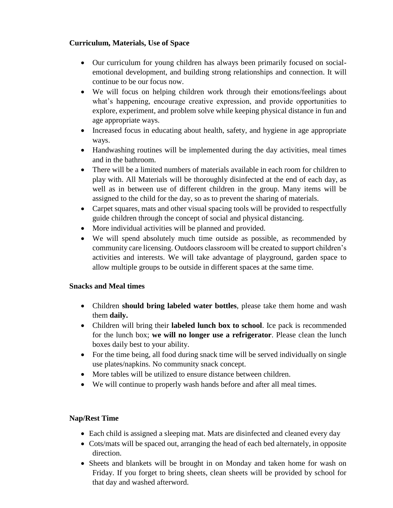### **Curriculum, Materials, Use of Space**

- Our curriculum for young children has always been primarily focused on socialemotional development, and building strong relationships and connection. It will continue to be our focus now.
- We will focus on helping children work through their emotions/feelings about what's happening, encourage creative expression, and provide opportunities to explore, experiment, and problem solve while keeping physical distance in fun and age appropriate ways.
- Increased focus in educating about health, safety, and hygiene in age appropriate ways.
- Handwashing routines will be implemented during the day activities, meal times and in the bathroom.
- There will be a limited numbers of materials available in each room for children to play with. All Materials will be thoroughly disinfected at the end of each day, as well as in between use of different children in the group. Many items will be assigned to the child for the day, so as to prevent the sharing of materials.
- Carpet squares, mats and other visual spacing tools will be provided to respectfully guide children through the concept of social and physical distancing.
- More individual activities will be planned and provided.
- We will spend absolutely much time outside as possible, as recommended by community care licensing. Outdoors classroom will be created to support children's activities and interests. We will take advantage of playground, garden space to allow multiple groups to be outside in different spaces at the same time.

#### **Snacks and Meal times**

- Children **should bring labeled water bottles**, please take them home and wash them **daily.**
- Children will bring their **labeled lunch box to school**. Ice pack is recommended for the lunch box; **we will no longer use a refrigerator**. Please clean the lunch boxes daily best to your ability.
- For the time being, all food during snack time will be served individually on single use plates/napkins. No community snack concept.
- More tables will be utilized to ensure distance between children.
- We will continue to properly wash hands before and after all meal times.

## **Nap/Rest Time**

- Each child is assigned a sleeping mat. Mats are disinfected and cleaned every day
- Cots/mats will be spaced out, arranging the head of each bed alternately, in opposite direction.
- Sheets and blankets will be brought in on Monday and taken home for wash on Friday. If you forget to bring sheets, clean sheets will be provided by school for that day and washed afterword.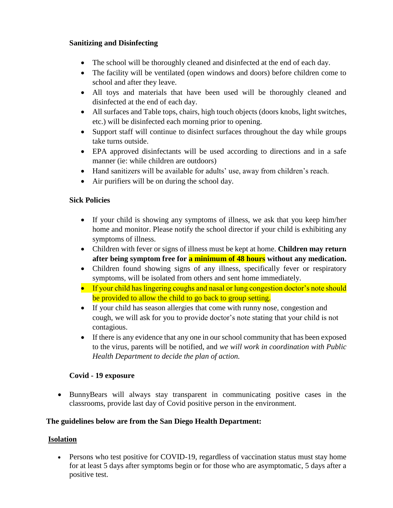### **Sanitizing and Disinfecting**

- The school will be thoroughly cleaned and disinfected at the end of each day.
- The facility will be ventilated (open windows and doors) before children come to school and after they leave.
- All toys and materials that have been used will be thoroughly cleaned and disinfected at the end of each day.
- All surfaces and Table tops, chairs, high touch objects (doors knobs, light switches, etc.) will be disinfected each morning prior to opening.
- Support staff will continue to disinfect surfaces throughout the day while groups take turns outside.
- EPA approved disinfectants will be used according to directions and in a safe manner (ie: while children are outdoors)
- Hand sanitizers will be available for adults' use, away from children's reach.
- Air purifiers will be on during the school day.

### **Sick Policies**

- If your child is showing any symptoms of illness, we ask that you keep him/her home and monitor. Please notify the school director if your child is exhibiting any symptoms of illness.
- Children with fever or signs of illness must be kept at home. **Children may return after being symptom free for a minimum of 48 hours without any medication.**
- Children found showing signs of any illness, specifically fever or respiratory symptoms, will be isolated from others and sent home immediately.
- If your child has lingering coughs and nasal or lung congestion doctor's note should be provided to allow the child to go back to group setting.
- If your child has season allergies that come with runny nose, congestion and cough, we will ask for you to provide doctor's note stating that your child is not contagious.
- If there is any evidence that any one in our school community that has been exposed to the virus, parents will be notified, and *we will work in coordination with Public Health Department to decide the plan of action.*

## **Covid - 19 exposure**

 BunnyBears will always stay transparent in communicating positive cases in the classrooms, provide last day of Covid positive person in the environment.

#### **The guidelines below are from the San Diego Health Department:**

## **Isolation**

 Persons who test positive for COVID-19, regardless of vaccination status must stay home for at least 5 days after symptoms begin or for those who are asymptomatic, 5 days after a positive test.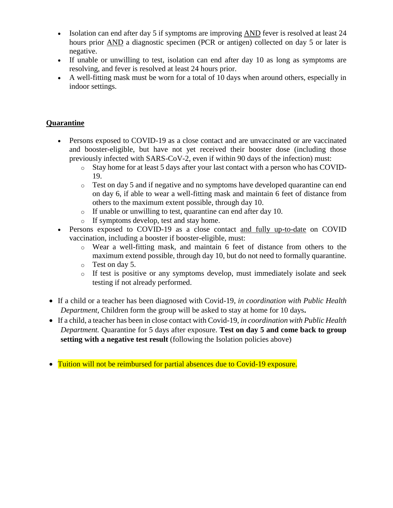- Isolation can end after day 5 if symptoms are improving AND fever is resolved at least 24 hours prior AND a diagnostic specimen (PCR or antigen) collected on day 5 or later is negative.
- If unable or unwilling to test, isolation can end after day 10 as long as symptoms are resolving, and fever is resolved at least 24 hours prior.
- A well-fitting mask must be worn for a total of 10 days when around others, especially in indoor settings.

#### **Quarantine**

- Persons exposed to COVID-19 as a close contact and are unvaccinated or are vaccinated and booster-eligible, but have not yet received their booster dose (including those previously infected with SARS-CoV-2, even if within 90 days of the infection) must:
	- o Stay home for at least 5 days after your last contact with a person who has COVID-19.
	- o Test on day 5 and if negative and no symptoms have developed quarantine can end on day 6, if able to wear a well-fitting mask and maintain 6 feet of distance from others to the maximum extent possible, through day 10.
	- o If unable or unwilling to test, quarantine can end after day 10.
	- o If symptoms develop, test and stay home.
- Persons exposed to COVID-19 as a close contact and fully up-to-date on COVID vaccination, including a booster if booster-eligible, must:
	- o Wear a well-fitting mask, and maintain 6 feet of distance from others to the maximum extend possible, through day 10, but do not need to formally quarantine.
	- o Test on day 5.
	- o If test is positive or any symptoms develop, must immediately isolate and seek testing if not already performed.
- If a child or a teacher has been diagnosed with Covid-19, *in coordination with Public Health Department,* Children form the group will be asked to stay at home for 10 days**.**
- If a child, a teacher has been in close contact with Covid-19, *in coordination with Public Health Department.* Quarantine for 5 days after exposure. **Test on day 5 and come back to group setting with a negative test result** (following the Isolation policies above)
- Tuition will not be reimbursed for partial absences due to Covid-19 exposure.